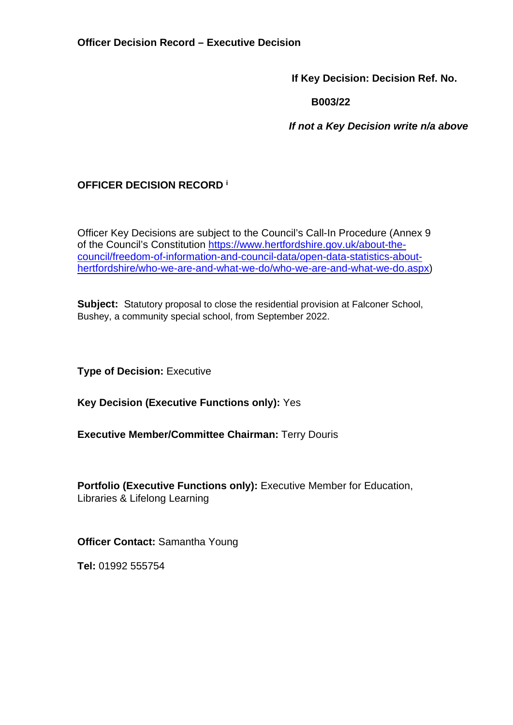**If Key Decision: Decision Ref. No.** 

 **B003/22** 

 *If not a Key Decision write n/a above* 

# **OFFICER DECISION RECORD <sup>i</sup>**

Officer Key Decisions are subject to the Council's Call-In Procedure (Annex 9 of the Council's Constitution [https://www.hertfordshire.gov.uk/about-the](https://www.hertfordshire.gov.uk/about-the-council/freedom-of-information-and-council-data/open-data-statistics-about-hertfordshire/who-we-are-and-what-we-do/who-we-are-and-what-we-do.aspx)[council/freedom-of-information-and-council-data/open-data-statistics-about](https://www.hertfordshire.gov.uk/about-the-council/freedom-of-information-and-council-data/open-data-statistics-about-hertfordshire/who-we-are-and-what-we-do/who-we-are-and-what-we-do.aspx)[hertfordshire/who-we-are-and-what-we-do/who-we-are-and-what-we-do.aspx\)](https://www.hertfordshire.gov.uk/about-the-council/freedom-of-information-and-council-data/open-data-statistics-about-hertfordshire/who-we-are-and-what-we-do/who-we-are-and-what-we-do.aspx)

**Subject:** Statutory proposal to close the residential provision at Falconer School, Bushey, a community special school, from September 2022.

**Type of Decision: Executive** 

**Key Decision (Executive Functions only):** Yes

**Executive Member/Committee Chairman:** Terry Douris

**Portfolio (Executive Functions only):** Executive Member for Education, Libraries & Lifelong Learning

**Officer Contact:** Samantha Young

**Tel:** 01992 555754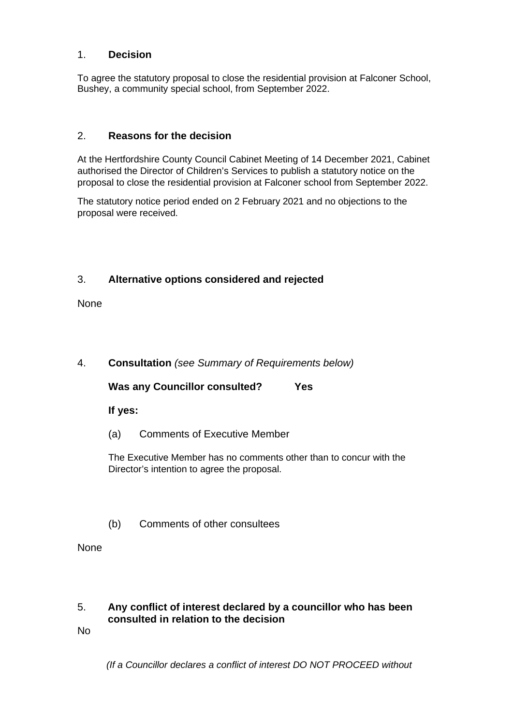#### 1. **Decision**

To agree the statutory proposal to close the residential provision at Falconer School, Bushey, a community special school, from September 2022.

### 2. **Reasons for the decision**

At the Hertfordshire County Council Cabinet Meeting of 14 December 2021, Cabinet authorised the Director of Children's Services to publish a statutory notice on the proposal to close the residential provision at Falconer school from September 2022.

The statutory notice period ended on 2 February 2021 and no objections to the proposal were received.

#### 3. **Alternative options considered and rejected**

None

## 4. **Consultation** *(see Summary of Requirements below)*

**Was any Councillor consulted? Yes**

**If yes:** 

(a) Comments of Executive Member

The Executive Member has no comments other than to concur with the Director's intention to agree the proposal.

(b) Comments of other consultees

None

#### 5. **Any conflict of interest declared by a councillor who has been consulted in relation to the decision**

No

 *(If a Councillor declares a conflict of interest DO NOT PROCEED without*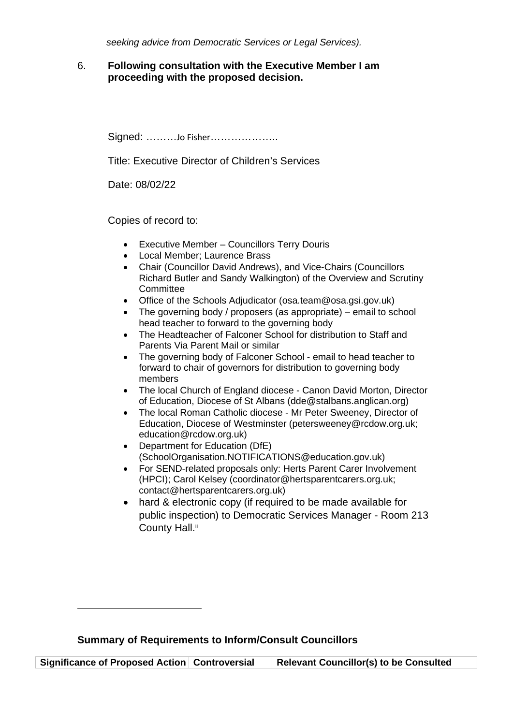*seeking advice from Democratic Services or Legal Services).* 

#### 6. **Following consultation with the Executive Member I am proceeding with the proposed decision.**

Signed: ………Jo Fisher………………..

Title: Executive Director of Children's Services

Date: 08/02/22

Copies of record to:

- Executive Member Councillors Terry Douris
- Local Member; Laurence Brass
- Chair (Councillor David Andrews), and Vice-Chairs (Councillors Richard Butler and Sandy Walkington) of the Overview and Scrutiny **Committee**
- Office of the Schools Adjudicator (osa.team@osa.gsi.gov.uk)
- The governing body / proposers (as appropriate) email to school head teacher to forward to the governing body
- The Headteacher of Falconer School for distribution to Staff and Parents Via Parent Mail or similar
- The governing body of Falconer School email to head teacher to forward to chair of governors for distribution to governing body members
- The local Church of England diocese Canon David Morton, Director of Education, Diocese of St Albans (dde@stalbans.anglican.org)
- The local Roman Catholic diocese Mr Peter Sweeney, Director of Education, Diocese of Westminster (petersweeney@rcdow.org.uk; education@rcdow.org.uk)
- Department for Education (DfE) (SchoolOrganisation.NOTIFICATIONS@education.gov.uk)
- For SEND-related proposals only: Herts Parent Carer Involvement (HPCI); Carol Kelsey (coordinator@hertsparentcarers.org.uk; contact@hertsparentcarers.org.uk)
- hard & electronic copy (if required to be made available for public inspection) to Democratic Services Manager - Room 213 County Hall.<sup>ii</sup>

**Significance of Proposed Action Controversial Relevant Councillor(s) to be Consulted**

**Summary of Requirements to Inform/Consult Councillors**